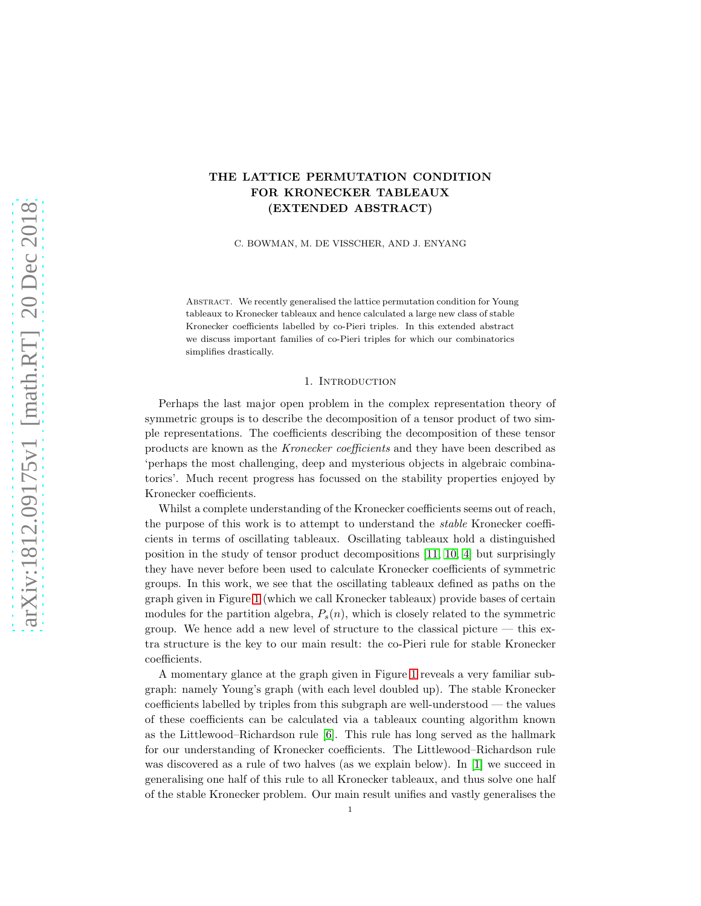# THE LATTICE PERMUTATION CONDITION FOR KRONECKER TABLEAUX (EXTENDED ABSTRACT)

C. BOWMAN, M. DE VISSCHER, AND J. ENYANG

Abstract. We recently generalised the lattice permutation condition for Young tableaux to Kronecker tableaux and hence calculated a large new class of stable Kronecker coefficients labelled by co-Pieri triples. In this extended abstract we discuss important families of co-Pieri triples for which our combinatorics simplifies drastically.

#### 1. INTRODUCTION

Perhaps the last major open problem in the complex representation theory of symmetric groups is to describe the decomposition of a tensor product of two simple representations. The coefficients describing the decomposition of these tensor products are known as the Kronecker coefficients and they have been described as 'perhaps the most challenging, deep and mysterious objects in algebraic combinatorics'. Much recent progress has focussed on the stability properties enjoyed by Kronecker coefficients.

Whilst a complete understanding of the Kronecker coefficients seems out of reach, the purpose of this work is to attempt to understand the stable Kronecker coefficients in terms of oscillating tableaux. Oscillating tableaux hold a distinguished position in the study of tensor product decompositions [\[11,](#page-12-0) [10,](#page-12-1) [4\]](#page-12-2) but surprisingly they have never before been used to calculate Kronecker coefficients of symmetric groups. In this work, we see that the oscillating tableaux defined as paths on the graph given in Figure [1](#page-1-0) (which we call Kronecker tableaux) provide bases of certain modules for the partition algebra,  $P_s(n)$ , which is closely related to the symmetric group. We hence add a new level of structure to the classical picture — this extra structure is the key to our main result: the co-Pieri rule for stable Kronecker coefficients.

A momentary glance at the graph given in Figure [1](#page-1-0) reveals a very familiar subgraph: namely Young's graph (with each level doubled up). The stable Kronecker coefficients labelled by triples from this subgraph are well-understood — the values of these coefficients can be calculated via a tableaux counting algorithm known as the Littlewood–Richardson rule [\[6\]](#page-12-3). This rule has long served as the hallmark for our understanding of Kronecker coefficients. The Littlewood–Richardson rule was discovered as a rule of two halves (as we explain below). In [\[1\]](#page-12-4) we succeed in generalising one half of this rule to all Kronecker tableaux, and thus solve one half of the stable Kronecker problem. Our main result unifies and vastly generalises the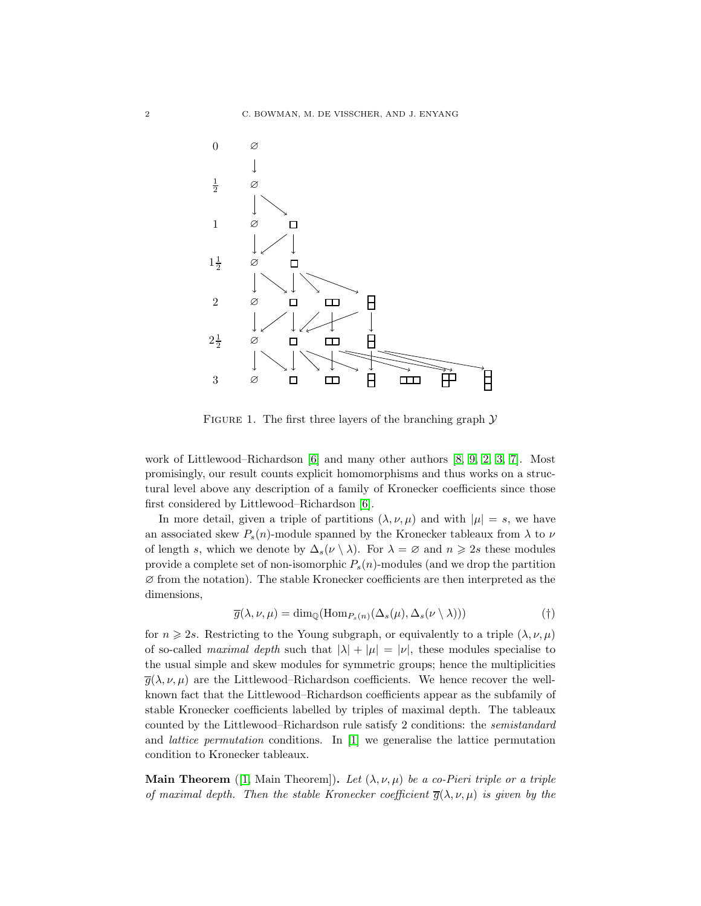<span id="page-1-0"></span>

FIGURE 1. The first three layers of the branching graph  $\mathcal Y$ 

work of Littlewood–Richardson [\[6\]](#page-12-3) and many other authors [\[8,](#page-12-5) [9,](#page-12-6) [2,](#page-12-7) [3,](#page-12-8) [7\]](#page-12-9). Most promisingly, our result counts explicit homomorphisms and thus works on a structural level above any description of a family of Kronecker coefficients since those first considered by Littlewood–Richardson [\[6\]](#page-12-3).

In more detail, given a triple of partitions  $(\lambda, \nu, \mu)$  and with  $|\mu| = s$ , we have an associated skew  $P_s(n)$ -module spanned by the Kronecker tableaux from  $\lambda$  to  $\nu$ of length s, which we denote by  $\Delta_s(\nu \setminus \lambda)$ . For  $\lambda = \emptyset$  and  $n \geq 2s$  these modules provide a complete set of non-isomorphic  $P_s(n)$ -modules (and we drop the partition ∅ from the notation). The stable Kronecker coefficients are then interpreted as the dimensions,

$$
\overline{g}(\lambda, \nu, \mu) = \dim_{\mathbb{Q}}(\text{Hom}_{P_s(n)}(\Delta_s(\mu), \Delta_s(\nu \setminus \lambda)))
$$
 (†)

for  $n \geq 2s$ . Restricting to the Young subgraph, or equivalently to a triple  $(\lambda, \nu, \mu)$ of so-called maximal depth such that  $|\lambda| + |\mu| = |\nu|$ , these modules specialise to the usual simple and skew modules for symmetric groups; hence the multiplicities  $\overline{g}(\lambda, \nu, \mu)$  are the Littlewood–Richardson coefficients. We hence recover the wellknown fact that the Littlewood–Richardson coefficients appear as the subfamily of stable Kronecker coefficients labelled by triples of maximal depth. The tableaux counted by the Littlewood–Richardson rule satisfy 2 conditions: the semistandard and *lattice permutation* conditions. In  $|1|$  we generalise the lattice permutation condition to Kronecker tableaux.

Main Theorem ([\[1,](#page-12-4) Main Theorem]). Let  $(\lambda, \nu, \mu)$  be a co-Pieri triple or a triple of maximal depth. Then the stable Kronecker coefficient  $\overline{g}(\lambda, \nu, \mu)$  is given by the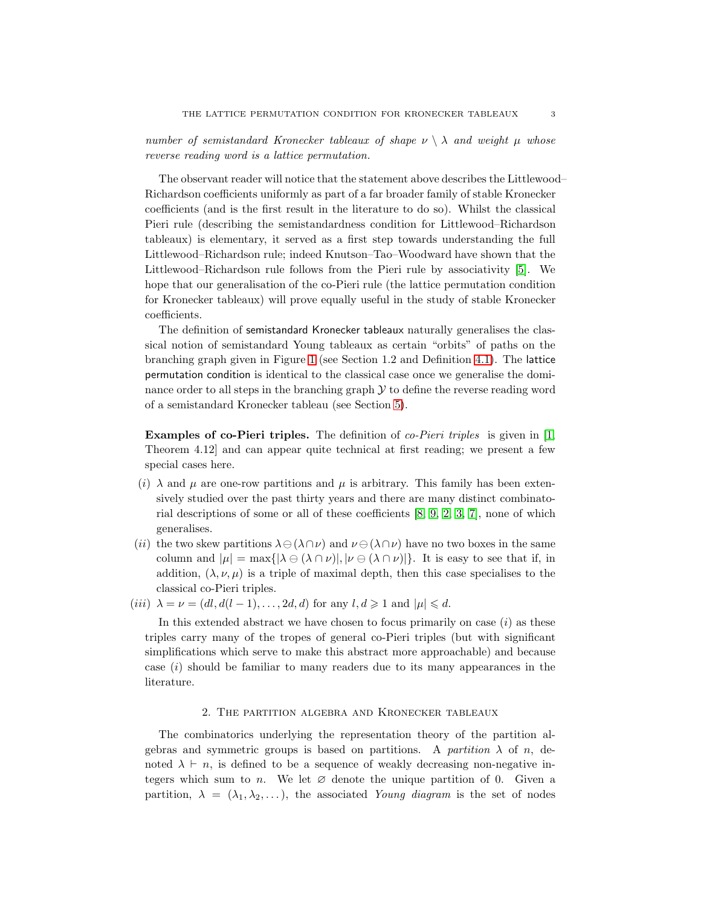number of semistandard Kronecker tableaux of shape  $\nu \setminus \lambda$  and weight  $\mu$  whose reverse reading word is a lattice permutation.

The observant reader will notice that the statement above describes the Littlewood– Richardson coefficients uniformly as part of a far broader family of stable Kronecker coefficients (and is the first result in the literature to do so). Whilst the classical Pieri rule (describing the semistandardness condition for Littlewood–Richardson tableaux) is elementary, it served as a first step towards understanding the full Littlewood–Richardson rule; indeed Knutson–Tao–Woodward have shown that the Littlewood–Richardson rule follows from the Pieri rule by associativity [\[5\]](#page-12-10). We hope that our generalisation of the co-Pieri rule (the lattice permutation condition for Kronecker tableaux) will prove equally useful in the study of stable Kronecker coefficients.

The definition of semistandard Kronecker tableaux naturally generalises the classical notion of semistandard Young tableaux as certain "orbits" of paths on the branching graph given in Figure [1](#page-1-0) (see Section 1.2 and Definition [4.1\)](#page-6-0). The lattice permutation condition is identical to the classical case once we generalise the dominance order to all steps in the branching graph  $\mathcal Y$  to define the reverse reading word of a semistandard Kronecker tableau (see Section [5\)](#page-10-0).

Examples of co-Pieri triples. The definition of co-Pieri triples is given in [\[1,](#page-12-4) Theorem 4.12] and can appear quite technical at first reading; we present a few special cases here.

- (i)  $\lambda$  and  $\mu$  are one-row partitions and  $\mu$  is arbitrary. This family has been extensively studied over the past thirty years and there are many distinct combinatorial descriptions of some or all of these coefficients [\[8,](#page-12-5) [9,](#page-12-6) [2,](#page-12-7) [3,](#page-12-8) [7\]](#page-12-9), none of which generalises.
- (ii) the two skew partitions  $\lambda \ominus (\lambda \cap \nu)$  and  $\nu \ominus (\lambda \cap \nu)$  have no two boxes in the same column and  $|\mu| = \max\{|\lambda \ominus (\lambda \cap \nu)|, |\nu \ominus (\lambda \cap \nu)|\}$ . It is easy to see that if, in addition,  $(\lambda, \nu, \mu)$  is a triple of maximal depth, then this case specialises to the classical co-Pieri triples.
- (iii)  $\lambda = \nu = (dl, d(l-1), \ldots, 2d, d)$  for any  $l, d \geq 1$  and  $|\mu| \leq d$ .

In this extended abstract we have chosen to focus primarily on case  $(i)$  as these triples carry many of the tropes of general co-Pieri triples (but with significant simplifications which serve to make this abstract more approachable) and because case (i) should be familiar to many readers due to its many appearances in the literature.

### 2. The partition algebra and Kronecker tableaux

The combinatorics underlying the representation theory of the partition algebras and symmetric groups is based on partitions. A partition  $\lambda$  of n, denoted  $\lambda \vdash n$ , is defined to be a sequence of weakly decreasing non-negative integers which sum to n. We let  $\varnothing$  denote the unique partition of 0. Given a partition,  $\lambda = (\lambda_1, \lambda_2, \ldots)$ , the associated Young diagram is the set of nodes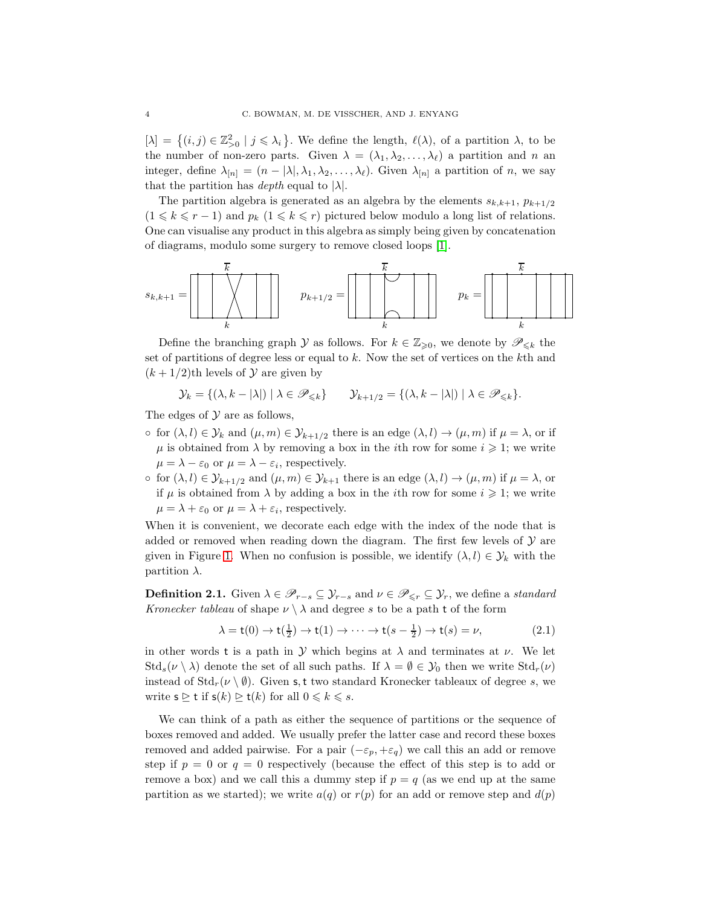$[\lambda] = \{(i, j) \in \mathbb{Z}_{\geq 0}^2 \mid j \leq \lambda_i\}$ . We define the length,  $\ell(\lambda)$ , of a partition  $\lambda$ , to be the number of non-zero parts. Given  $\lambda = (\lambda_1, \lambda_2, \dots, \lambda_\ell)$  a partition and n an integer, define  $\lambda_{[n]} = (n - |\lambda|, \lambda_1, \lambda_2, \ldots, \lambda_\ell)$ . Given  $\lambda_{[n]}$  a partition of n, we say that the partition has *depth* equal to  $|\lambda|$ .

The partition algebra is generated as an algebra by the elements  $s_{k,k+1}, p_{k+1/2}$  $(1 \leq k \leq r - 1)$  and  $p_k$   $(1 \leq k \leq r)$  pictured below modulo a long list of relations. One can visualise any product in this algebra as simply being given by concatenation of diagrams, modulo some surgery to remove closed loops [\[1\]](#page-12-4).

$$
s_{k,k+1} = \begin{bmatrix} \overline{k} \\ \overline{k} \\ k \end{bmatrix} \qquad p_{k+1/2} = \begin{bmatrix} \overline{k} \\ \overline{k} \\ k \end{bmatrix} \qquad p_k = \begin{bmatrix} \overline{k} \\ \overline{k} \\ k \end{bmatrix}
$$

Define the branching graph Y as follows. For  $k \in \mathbb{Z}_{\geqslant 0}$ , we denote by  $\mathscr{P}_{\leqslant k}$  the set of partitions of degree less or equal to k. Now the set of vertices on the kth and  $(k+1/2)$ th levels of  $\mathcal Y$  are given by

$$
\mathcal{Y}_k = \{ (\lambda, k - |\lambda|) \mid \lambda \in \mathscr{P}_{\leq k} \} \qquad \mathcal{Y}_{k+1/2} = \{ (\lambda, k - |\lambda|) \mid \lambda \in \mathscr{P}_{\leq k} \}.
$$

The edges of  $\mathcal Y$  are as follows,

- $\circ$  for  $(\lambda, l) \in \mathcal{Y}_k$  and  $(\mu, m) \in \mathcal{Y}_{k+1/2}$  there is an edge  $(\lambda, l) \to (\mu, m)$  if  $\mu = \lambda$ , or if  $\mu$  is obtained from  $\lambda$  by removing a box in the *i*th row for some  $i \geq 1$ ; we write  $\mu = \lambda - \varepsilon_0$  or  $\mu = \lambda - \varepsilon_i$ , respectively.
- $\circ$  for  $(\lambda, l) \in \mathcal{Y}_{k+1/2}$  and  $(\mu, m) \in \mathcal{Y}_{k+1}$  there is an edge  $(\lambda, l) \to (\mu, m)$  if  $\mu = \lambda$ , or if  $\mu$  is obtained from  $\lambda$  by adding a box in the *i*th row for some  $i \geq 1$ ; we write  $\mu = \lambda + \varepsilon_0$  or  $\mu = \lambda + \varepsilon_i$ , respectively.

When it is convenient, we decorate each edge with the index of the node that is added or removed when reading down the diagram. The first few levels of  $\mathcal Y$  are given in Figure [1.](#page-1-0) When no confusion is possible, we identify  $(\lambda, l) \in \mathcal{Y}_k$  with the partition  $\lambda$ .

**Definition 2.1.** Given  $\lambda \in \mathscr{P}_{r-s} \subseteq \mathcal{Y}_{r-s}$  and  $\nu \in \mathscr{P}_{\leq r} \subseteq \mathcal{Y}_r$ , we define a standard Kronecker tableau of shape  $\nu \setminus \lambda$  and degree s to be a path t of the form

$$
\lambda = \mathsf{t}(0) \to \mathsf{t}(\frac{1}{2}) \to \mathsf{t}(1) \to \cdots \to \mathsf{t}(s - \frac{1}{2}) \to \mathsf{t}(s) = \nu,\tag{2.1}
$$

in other words t is a path in Y which begins at  $\lambda$  and terminates at  $\nu$ . We let  $\text{Std}_s(\nu \setminus \lambda)$  denote the set of all such paths. If  $\lambda = \emptyset \in \mathcal{Y}_0$  then we write  $\text{Std}_r(\nu)$ instead of  $\text{Std}_r(\nu \setminus \emptyset)$ . Given s, t two standard Kronecker tableaux of degree s, we write  $s \geq t$  if  $s(k) \geq t(k)$  for all  $0 \leq k \leq s$ .

We can think of a path as either the sequence of partitions or the sequence of boxes removed and added. We usually prefer the latter case and record these boxes removed and added pairwise. For a pair  $(-\varepsilon_p, +\varepsilon_q)$  we call this an add or remove step if  $p = 0$  or  $q = 0$  respectively (because the effect of this step is to add or remove a box) and we call this a dummy step if  $p = q$  (as we end up at the same partition as we started); we write  $a(q)$  or  $r(p)$  for an add or remove step and  $d(p)$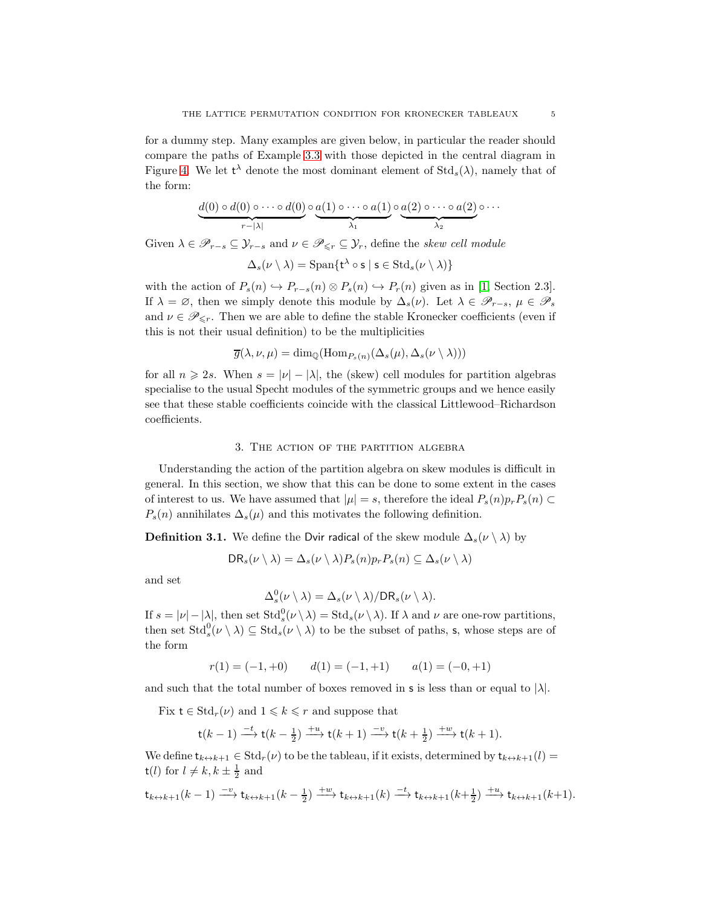for a dummy step. Many examples are given below, in particular the reader should compare the paths of Example [3.3](#page-5-0) with those depicted in the central diagram in Figure [4.](#page-9-0) We let  $t^{\lambda}$  denote the most dominant element of  $Std_s(\lambda)$ , namely that of the form:

$$
\underbrace{d(0) \circ d(0) \circ \cdots \circ d(0)}_{r-|\lambda|} \circ \underbrace{a(1) \circ \cdots \circ a(1)}_{\lambda_1} \circ \underbrace{a(2) \circ \cdots \circ a(2)}_{\lambda_2} \circ \cdots
$$

Given  $\lambda \in \mathscr{P}_{r-s} \subseteq \mathcal{Y}_{r-s}$  and  $\nu \in \mathscr{P}_{\leq r} \subseteq \mathcal{Y}_r$ , define the skew cell module

$$
\Delta_s(\nu\setminus\lambda)=\mathrm{Span}\{\mathsf{t}^{\lambda}\circ\mathsf{s}\mid\mathsf{s}\in\mathrm{Std}_s(\nu\setminus\lambda)\}
$$

with the action of  $P_s(n) \hookrightarrow P_{r-s}(n) \otimes P_s(n) \hookrightarrow P_r(n)$  given as in [\[1,](#page-12-4) Section 2.3]. If  $\lambda = \emptyset$ , then we simply denote this module by  $\Delta_s(\nu)$ . Let  $\lambda \in \mathscr{P}_{r-s}$ ,  $\mu \in \mathscr{P}_s$ and  $\nu \in \mathscr{P}_{\leq r}$ . Then we are able to define the stable Kronecker coefficients (even if this is not their usual definition) to be the multiplicities

$$
\overline{g}(\lambda, \nu, \mu) = \dim_{\mathbb{Q}}(\text{Hom}_{P_s(n)}(\Delta_s(\mu), \Delta_s(\nu \setminus \lambda)))
$$

for all  $n \geq 2s$ . When  $s = |\nu| - |\lambda|$ , the (skew) cell modules for partition algebras specialise to the usual Specht modules of the symmetric groups and we hence easily see that these stable coefficients coincide with the classical Littlewood–Richardson coefficients.

# 3. The action of the partition algebra

Understanding the action of the partition algebra on skew modules is difficult in general. In this section, we show that this can be done to some extent in the cases of interest to us. We have assumed that  $|\mu| = s$ , therefore the ideal  $P_s(n)p_rP_s(n) \subset$  $P_s(n)$  annihilates  $\Delta_s(\mu)$  and this motivates the following definition.

**Definition 3.1.** We define the Dvir radical of the skew module  $\Delta_s(\nu \setminus \lambda)$  by

$$
DR_s(\nu \setminus \lambda) = \Delta_s(\nu \setminus \lambda) P_s(n) p_r P_s(n) \subseteq \Delta_s(\nu \setminus \lambda)
$$

and set

$$
\Delta_s^0(\nu \setminus \lambda) = \Delta_s(\nu \setminus \lambda) / \text{DR}_s(\nu \setminus \lambda).
$$

If  $s = |\nu| - |\lambda|$ , then set  $\text{Std}^0_s(\nu \setminus \lambda) = \text{Std}_s(\nu \setminus \lambda)$ . If  $\lambda$  and  $\nu$  are one-row partitions, then set  $\mathrm{Std}^0_s(\nu \setminus \lambda) \subseteq \mathrm{Std}_s(\nu \setminus \lambda)$  to be the subset of paths, s, whose steps are of the form

$$
r(1) = (-1, +0) \qquad d(1) = (-1, +1) \qquad a(1) = (-0, +1)
$$

and such that the total number of boxes removed in s is less than or equal to  $|\lambda|$ .

Fix  $t \in \text{Std}_r(\nu)$  and  $1 \leq k \leq r$  and suppose that

$$
\mathsf{t}(k-1) \xrightarrow{-t} \mathsf{t}(k-\tfrac{1}{2}) \xrightarrow{+u} \mathsf{t}(k+1) \xrightarrow{-v} \mathsf{t}(k+\tfrac{1}{2}) \xrightarrow{+w} \mathsf{t}(k+1).
$$

We define  $t_{k\leftrightarrow k+1} \in \text{Std}_r(\nu)$  to be the tableau, if it exists, determined by  $t_{k\leftrightarrow k+1}(l)$  =  $t(l)$  for  $l \neq k, k \pm \frac{1}{2}$  and

$$
\mathsf{t}_{k\leftrightarrow k+1}(k-1) \xrightarrow{-v} \mathsf{t}_{k\leftrightarrow k+1}(k-\tfrac{1}{2}) \xrightarrow{+w} \mathsf{t}_{k\leftrightarrow k+1}(k) \xrightarrow{-t} \mathsf{t}_{k\leftrightarrow k+1}(k+\tfrac{1}{2}) \xrightarrow{+u} \mathsf{t}_{k\leftrightarrow k+1}(k+1).
$$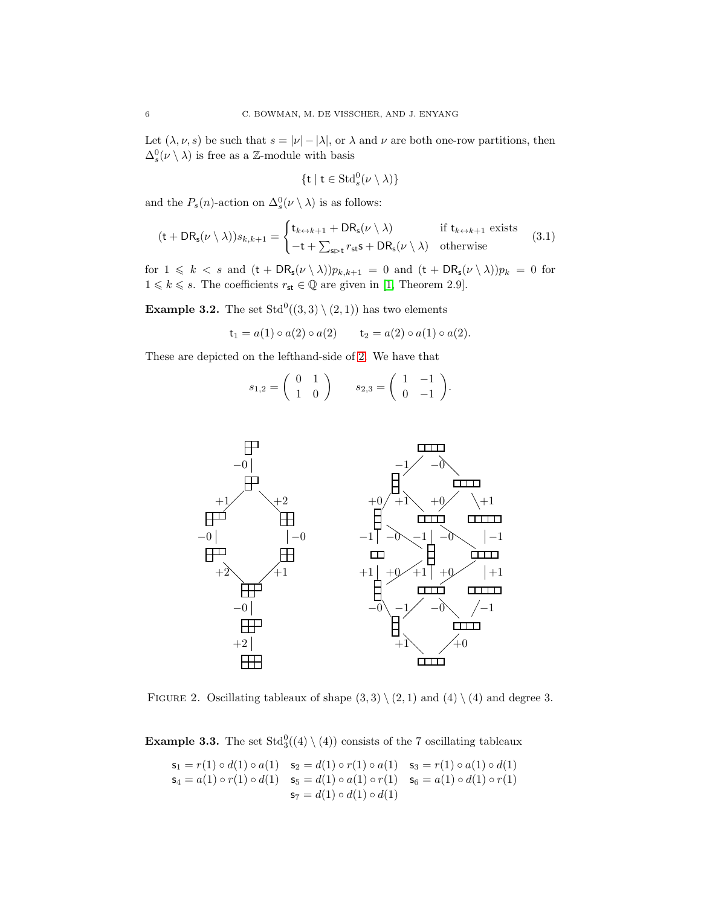Let  $(\lambda, \nu, s)$  be such that  $s = |\nu| - |\lambda|$ , or  $\lambda$  and  $\nu$  are both one-row partitions, then  $\Delta_s^0(\nu \setminus \lambda)$  is free as a Z-module with basis

$$
\{\mathsf{t} \mid \mathsf{t} \in \mathrm{Std}^0_s(\nu \setminus \lambda)\}
$$

and the  $P_s(n)$ -action on  $\Delta_s^0(\nu \setminus \lambda)$  is as follows:

$$
(\mathsf{t} + \mathsf{D}\mathsf{R}_{\mathsf{s}}(\nu \setminus \lambda))s_{k,k+1} = \begin{cases} \mathsf{t}_{k \leftrightarrow k+1} + \mathsf{D}\mathsf{R}_{\mathsf{s}}(\nu \setminus \lambda) & \text{if } \mathsf{t}_{k \leftrightarrow k+1} \text{ exists} \\ -\mathsf{t} + \sum_{\mathsf{s} \succ \mathsf{t}} r_{\mathsf{s}\mathsf{t}} \mathsf{s} + \mathsf{D}\mathsf{R}_{\mathsf{s}}(\nu \setminus \lambda) & \text{otherwise} \end{cases} \tag{3.1}
$$

for  $1 \leq k < s$  and  $(t + DR_s(\nu \setminus \lambda))p_{k,k+1} = 0$  and  $(t + DR_s(\nu \setminus \lambda))p_k = 0$  for  $1 \leq k \leq s$ . The coefficients  $r_{st} \in \mathbb{Q}$  are given in [\[1,](#page-12-4) Theorem 2.9].

**Example 3.2.** The set  $Std^0((3,3) \setminus (2,1))$  has two elements

$$
t_1 = a(1) \circ a(2) \circ a(2) \qquad t_2 = a(2) \circ a(1) \circ a(2).
$$

These are depicted on the lefthand-side of [2.](#page-5-1) We have that

$$
s_{1,2} = \begin{pmatrix} 0 & 1 \\ 1 & 0 \end{pmatrix} \qquad s_{2,3} = \begin{pmatrix} 1 & -1 \\ 0 & -1 \end{pmatrix}.
$$

<span id="page-5-1"></span>

<span id="page-5-0"></span>FIGURE 2. Oscillating tableaux of shape  $(3,3) \setminus (2,1)$  and  $(4) \setminus (4)$  and degree 3.

**Example 3.3.** The set  $Std_3^0((4) \setminus (4))$  consists of the 7 oscillating tableaux

$$
\begin{aligned}\n\mathsf{s}_1 &= r(1) \circ d(1) \circ a(1) & \mathsf{s}_2 &= d(1) \circ r(1) \circ a(1) & \mathsf{s}_3 &= r(1) \circ a(1) \circ d(1) \\
\mathsf{s}_4 &= a(1) \circ r(1) \circ d(1) & \mathsf{s}_5 &= d(1) \circ a(1) \circ r(1) & \mathsf{s}_6 &= a(1) \circ d(1) \circ r(1) \\
\mathsf{s}_7 &= d(1) \circ d(1) & \mathsf{d}(1)\n\end{aligned}
$$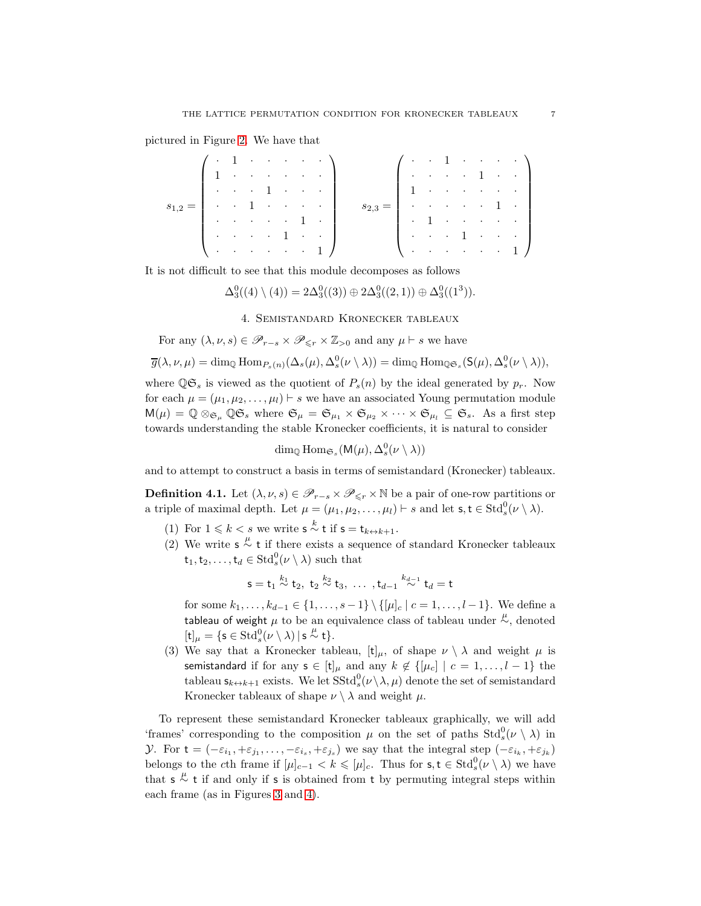pictured in Figure [2.](#page-5-1) We have that

|                                                         |  |  |  | $\left(1 + 1 + \cdots + \cdots \right)$                                                                                                                                                                                                                                                                                |                                                       |  |  |  | $( \cdot \cdot 1 \cdot \cdot \cdot \cdot )$                                           |
|---------------------------------------------------------|--|--|--|------------------------------------------------------------------------------------------------------------------------------------------------------------------------------------------------------------------------------------------------------------------------------------------------------------------------|-------------------------------------------------------|--|--|--|---------------------------------------------------------------------------------------|
| $s_{1,2} =$   $\cdot \cdot \cdot$   $\cdot \cdot \cdot$ |  |  |  | $\{1, \ldots, \ldots, \ldots\}$                                                                                                                                                                                                                                                                                        |                                                       |  |  |  | $\left\{ \cdots \cdots \cdots 1 \cdots \right\}$                                      |
|                                                         |  |  |  | $\begin{bmatrix} \cdots & \cdots & 1 & \cdots & \cdots \end{bmatrix}$                                                                                                                                                                                                                                                  |                                                       |  |  |  | $\left\{1, \ldots, \ldots, \ldots, \ldots\right\}$                                    |
|                                                         |  |  |  |                                                                                                                                                                                                                                                                                                                        | $s_{2,3} =   \cdot \cdot \cdot \cdot \cdot \cdot 1  $ |  |  |  |                                                                                       |
|                                                         |  |  |  |                                                                                                                                                                                                                                                                                                                        |                                                       |  |  |  | $\left\vert \cdot\right\rangle$ . The contribution of $\left\vert \cdot\right\rangle$ |
|                                                         |  |  |  | $\begin{bmatrix} 1 & 0 & 0 & 0 & 0 & 1 & 0 & 0 & 0 \\ 0 & 0 & 0 & 0 & 0 & 0 & 0 & 0 \\ 0 & 0 & 0 & 0 & 0 & 0 & 0 & 0 \\ 0 & 0 & 0 & 0 & 0 & 0 & 0 & 0 \\ 0 & 0 & 0 & 0 & 0 & 0 & 0 & 0 \\ 0 & 0 & 0 & 0 & 0 & 0 & 0 & 0 \\ 0 & 0 & 0 & 0 & 0 & 0 & 0 & 0 \\ 0 & 0 & 0 & 0 & 0 & 0 & 0 & 0 & 0 \\ 0 & 0 & 0 & 0 & 0 & $ |                                                       |  |  |  | $\begin{bmatrix} \cdots & \cdots & 1 & \cdots & \cdots \end{bmatrix}$                 |
|                                                         |  |  |  | $\lambda$ 1                                                                                                                                                                                                                                                                                                            |                                                       |  |  |  | $\backslash$ 1                                                                        |

It is not difficult to see that this module decomposes as follows

$$
\Delta_3^0((4)\setminus(4)) = 2\Delta_3^0((3)) \oplus 2\Delta_3^0((2,1)) \oplus \Delta_3^0((1^3)).
$$

4. Semistandard Kronecker tableaux

For any  $(\lambda, \nu, s) \in \mathscr{P}_{r-s} \times \mathscr{P}_{\leq r} \times \mathbb{Z}_{>0}$  and any  $\mu \vdash s$  we have

$$
\overline{g}(\lambda,\nu,\mu)=\dim_{\mathbb{Q}}\mathrm{Hom}_{P_s(n)}(\Delta_s(\mu),\Delta_s^0(\nu\setminus\lambda))=\dim_{\mathbb{Q}}\mathrm{Hom}_{\mathbb{Q}\mathfrak{S}_s}(\mathsf{S}(\mu),\Delta_s^0(\nu\setminus\lambda)),
$$

where  $\mathbb{Q} \mathfrak{S}_s$  is viewed as the quotient of  $P_s(n)$  by the ideal generated by  $p_r$ . Now for each  $\mu = (\mu_1, \mu_2, \dots, \mu_l) \vdash s$  we have an associated Young permutation module  $M(\mu) = \mathbb{Q} \otimes_{\mathfrak{S}_{\mu}} \mathbb{Q} \mathfrak{S}_{s}$  where  $\mathfrak{S}_{\mu} = \mathfrak{S}_{\mu_1} \times \mathfrak{S}_{\mu_2} \times \cdots \times \mathfrak{S}_{\mu_l} \subseteq \mathfrak{S}_{s}$ . As a first step towards understanding the stable Kronecker coefficients, it is natural to consider

 $\dim_{\mathbb{Q}} \text{Hom}_{\mathfrak{S}_s}(\mathsf{M}(\mu), \Delta_s^0(\nu \setminus \lambda))$ 

<span id="page-6-0"></span>and to attempt to construct a basis in terms of semistandard (Kronecker) tableaux.

**Definition 4.1.** Let  $(\lambda, \nu, s) \in \mathscr{P}_{r-s} \times \mathscr{P}_{\leq r} \times \mathbb{N}$  be a pair of one-row partitions or a triple of maximal depth. Let  $\mu = (\mu_1, \mu_2, \dots, \mu_l) \vdash s$  and let  $\mathsf{s}, \mathsf{t} \in \text{Std}^0_s(\nu \setminus \lambda)$ .

- (1) For  $1 \leq k < s$  we write  $s \stackrel{k}{\sim} t$  if  $s = t_{k \leftrightarrow k+1}$ .
- (2) We write  $s \stackrel{\mu}{\sim} t$  if there exists a sequence of standard Kronecker tableaux  $\mathsf{t}_1, \mathsf{t}_2, \ldots, \mathsf{t}_d \in \operatorname{Std}^0_s(\nu \setminus \lambda)$  such that

$$
s = t_1 \stackrel{k_1}{\sim} t_2, \; t_2 \stackrel{k_2}{\sim} t_3, \; \ldots \;, t_{d-1} \stackrel{k_{d-1}}{\sim} t_d = t
$$

for some  $k_1, \ldots, k_{d-1} \in \{1, \ldots, s-1\} \setminus \{[\mu]_c \mid c = 1, \ldots, l-1\}.$  We define a tableau of weight  $\mu$  to be an equivalence class of tableau under  $\overset{\mu}{\sim}$ , denoted  $[\mathsf{t}]_\mu = \{ \mathsf{s} \in \mathrm{Std}^0_s(\nu \setminus \lambda) \, | \, \mathsf{s} \stackrel{\mu}{\sim} \mathsf{t} \}.$ 

(3) We say that a Kronecker tableau,  $[t]_{\mu}$ , of shape  $\nu \setminus \lambda$  and weight  $\mu$  is semistandard if for any  $s \in [t]_{\mu}$  and any  $k \notin \{[\mu_c] \mid c = 1, \ldots, l-1\}$  the tableau  $\mathsf{s}_{k\leftrightarrow k+1}$  exists. We let  $\mathrm{SStd}^0_s(\nu \setminus \lambda, \mu)$  denote the set of semistandard Kronecker tableaux of shape  $\nu \setminus \lambda$  and weight  $\mu$ .

<span id="page-6-1"></span>To represent these semistandard Kronecker tableaux graphically, we will add 'frames' corresponding to the composition  $\mu$  on the set of paths  $Std_s^0(\nu \setminus \lambda)$  in *Y*. For  $\mathbf{t} = (-\varepsilon_{i_1}, +\varepsilon_{j_1}, \dots, -\varepsilon_{i_s}, +\varepsilon_{j_s})$  we say that the integral step  $(-\varepsilon_{i_k}, +\varepsilon_{j_k})$ belongs to the cth frame if  $[\mu]_{c-1} < k \leqslant [\mu]_c$ . Thus for  $\mathsf{s}, \mathsf{t} \in \text{Std}^0_s(\nu \setminus \lambda)$  we have that  $s \stackrel{\mu}{\sim} t$  if and only if s is obtained from t by permuting integral steps within each frame (as in Figures [3](#page-7-0) and [4\)](#page-9-0).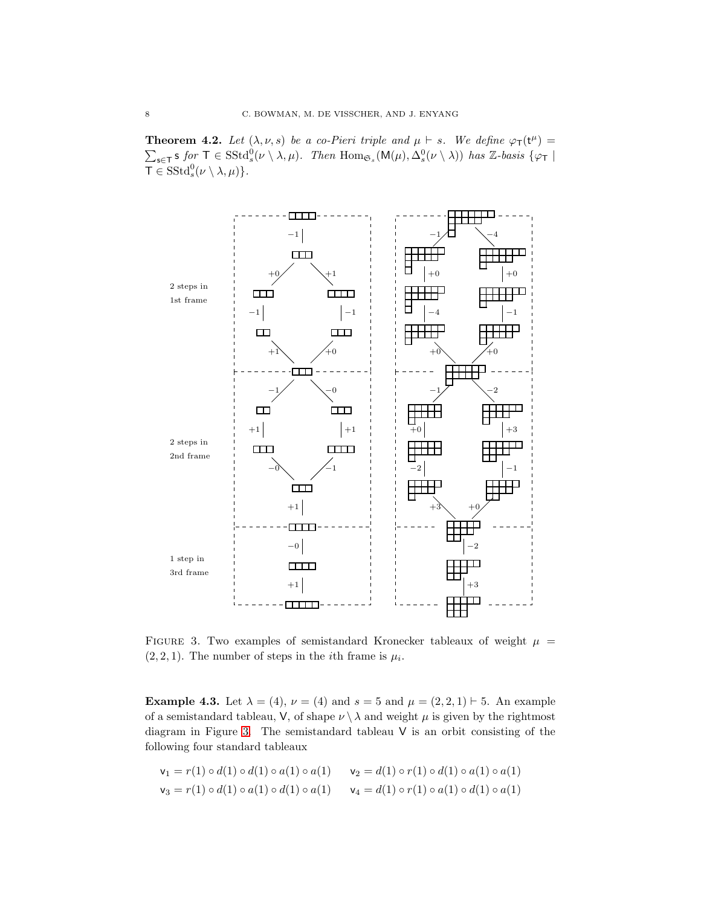**Theorem 4.2.** Let  $(\lambda, \nu, s)$  be a co-Pieri triple and  $\mu \vdash s$ . We define  $\varphi_{\mathsf{T}}(\mathsf{t}^{\mu}) =$  $\sum_{s\in\mathsf{T}} s$  for  $\mathsf{T} \in \mathrm{SStd}^0_s(\nu \setminus \lambda, \mu)$ . Then  $\mathrm{Hom}_{\mathfrak{S}_s}(\mathsf{M}(\mu), \Delta^0_s(\nu \setminus \lambda))$  has Z-basis  $\{\varphi_{\mathsf{T}}\mid$  $\mathsf{T} \in \mathrm{SStd}^0_s(\nu \setminus \lambda, \mu)$ .

<span id="page-7-0"></span>

FIGURE 3. Two examples of semistandard Kronecker tableaux of weight  $\mu$  =  $(2, 2, 1)$ . The number of steps in the *i*th frame is  $\mu_i$ .

<span id="page-7-1"></span>**Example 4.3.** Let  $\lambda = (4)$ ,  $\nu = (4)$  and  $s = 5$  and  $\mu = (2, 2, 1) \vdash 5$ . An example of a semistandard tableau, V, of shape  $\nu \setminus \lambda$  and weight  $\mu$  is given by the rightmost diagram in Figure [3.](#page-7-0) The semistandard tableau V is an orbit consisting of the following four standard tableaux

$$
\mathsf{v}_1 = r(1) \circ d(1) \circ d(1) \circ a(1) \circ a(1) \qquad \mathsf{v}_2 = d(1) \circ r(1) \circ d(1) \circ a(1) \circ a(1)
$$
\n
$$
\mathsf{v}_3 = r(1) \circ d(1) \circ a(1) \circ d(1) \circ a(1) \qquad \mathsf{v}_4 = d(1) \circ r(1) \circ a(1) \circ d(1) \circ a(1)
$$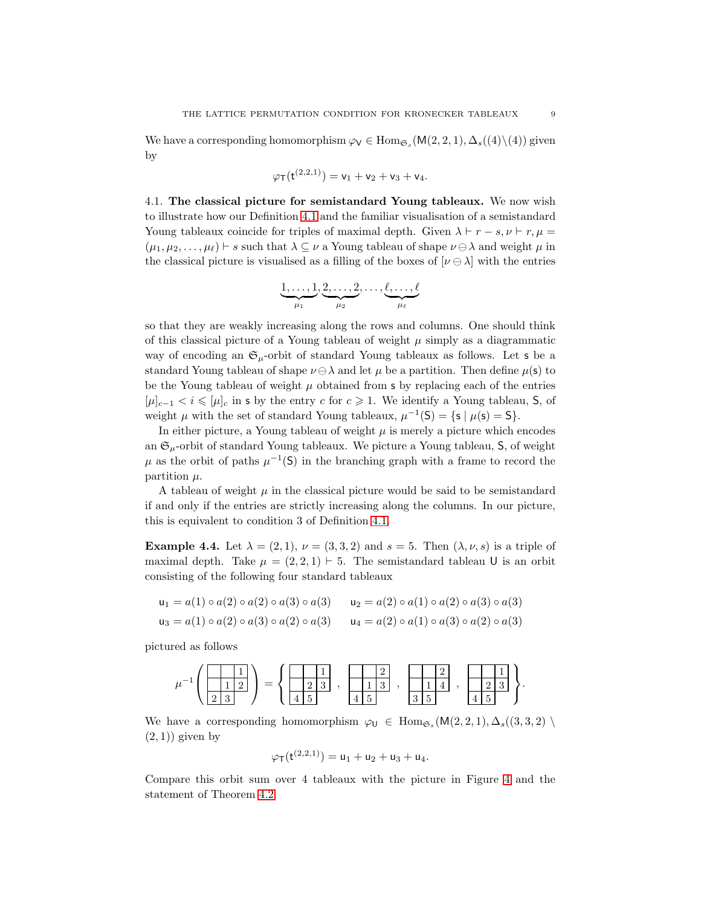We have a corresponding homomorphism  $\varphi_V \in \text{Hom}_{\mathfrak{S}_s}(\mathsf{M}(2,2,1), \Delta_s((4)\backslash(4))$  given by

$$
\varphi_{\mathsf{T}}(\mathsf{t}^{(2,2,1)}) = \mathsf{v}_1 + \mathsf{v}_2 + \mathsf{v}_3 + \mathsf{v}_4.
$$

4.1. The classical picture for semistandard Young tableaux. We now wish to illustrate how our Definition [4.1](#page-6-0) and the familiar visualisation of a semistandard Young tableaux coincide for triples of maximal depth. Given  $\lambda \vdash r - s, \nu \vdash r, \mu =$  $(\mu_1, \mu_2, \ldots, \mu_\ell) \vdash s$  such that  $\lambda \subseteq \nu$  a Young tableau of shape  $\nu \ominus \lambda$  and weight  $\mu$  in the classical picture is visualised as a filling of the boxes of  $[\nu \ominus \lambda]$  with the entries

$$
\underbrace{1,\ldots,1}_{\mu_1},\underbrace{2,\ldots,2}_{\mu_2},\ldots,\underbrace{\ell,\ldots,\ell}_{\mu_\ell}
$$

so that they are weakly increasing along the rows and columns. One should think of this classical picture of a Young tableau of weight  $\mu$  simply as a diagrammatic way of encoding an  $\mathfrak{S}_{\mu}$ -orbit of standard Young tableaux as follows. Let s be a standard Young tableau of shape  $\nu \ominus \lambda$  and let  $\mu$  be a partition. Then define  $\mu(\mathsf{s})$  to be the Young tableau of weight  $\mu$  obtained from s by replacing each of the entries  $[\mu]_{c-1} < i \leq \mu]_c$  in s by the entry c for  $c \geq 1$ . We identify a Young tableau, S, of weight  $\mu$  with the set of standard Young tableaux,  $\mu^{-1}(S) = \{s \mid \mu(s) = S\}.$ 

In either picture, a Young tableau of weight  $\mu$  is merely a picture which encodes an  $\mathfrak{S}_u$ -orbit of standard Young tableaux. We picture a Young tableau, S, of weight  $\mu$  as the orbit of paths  $\mu^{-1}(S)$  in the branching graph with a frame to record the partition  $\mu$ .

A tableau of weight  $\mu$  in the classical picture would be said to be semistandard if and only if the entries are strictly increasing along the columns. In our picture, this is equivalent to condition 3 of Definition [4.1.](#page-6-0)

<span id="page-8-0"></span>**Example 4.4.** Let  $\lambda = (2, 1), \nu = (3, 3, 2)$  and  $s = 5$ . Then  $(\lambda, \nu, s)$  is a triple of maximal depth. Take  $\mu = (2, 2, 1) \vdash 5$ . The semistandard tableau U is an orbit consisting of the following four standard tableaux

$$
\begin{aligned}\n\mathsf{u}_1 &= a(1) \circ a(2) \circ a(2) \circ a(3) \circ a(3) & \mathsf{u}_2 &= a(2) \circ a(1) \circ a(2) \circ a(3) \circ a(3) \\
\mathsf{u}_3 &= a(1) \circ a(2) \circ a(3) \circ a(2) \circ a(3) & \mathsf{u}_4 &= a(2) \circ a(1) \circ a(3) \circ a(2) \circ a(3)\n\end{aligned}
$$

pictured as follows

$$
\mu^{-1}\left(\begin{array}{|c|c|c|}\hline 1 & 1 \\ \hline 1 & 2 \end{array}\right) = \left\{\begin{array}{|c|c|c|}\hline 1 & 1 \\ \hline 2 & 3 \end{array}\right., \begin{array}{|c|c|c|}\hline 1 & 2 \\ \hline 1 & 3 \end{array}\right., \begin{array}{|c|c|c|}\hline 1 & 2 \\ \hline 1 & 4 \end{array}\right., \begin{array}{|c|c|c|}\hline 1 & 1 \\ \hline 2 & 3 \end{array}\right\}.
$$

We have a corresponding homomorphism  $\varphi_{\mathsf{U}} \in \text{Hom}_{\mathfrak{S}_s}(\mathsf{M}(2,2,1), \Delta_s((3,3,2))$  $(2, 1)$ ) given by

$$
\varphi_{\mathsf{T}}(\mathsf{t}^{(2,2,1)}) = \mathsf{u}_1 + \mathsf{u}_2 + \mathsf{u}_3 + \mathsf{u}_4.
$$

Compare this orbit sum over 4 tableaux with the picture in Figure [4](#page-9-0) and the statement of Theorem [4.2.](#page-6-1)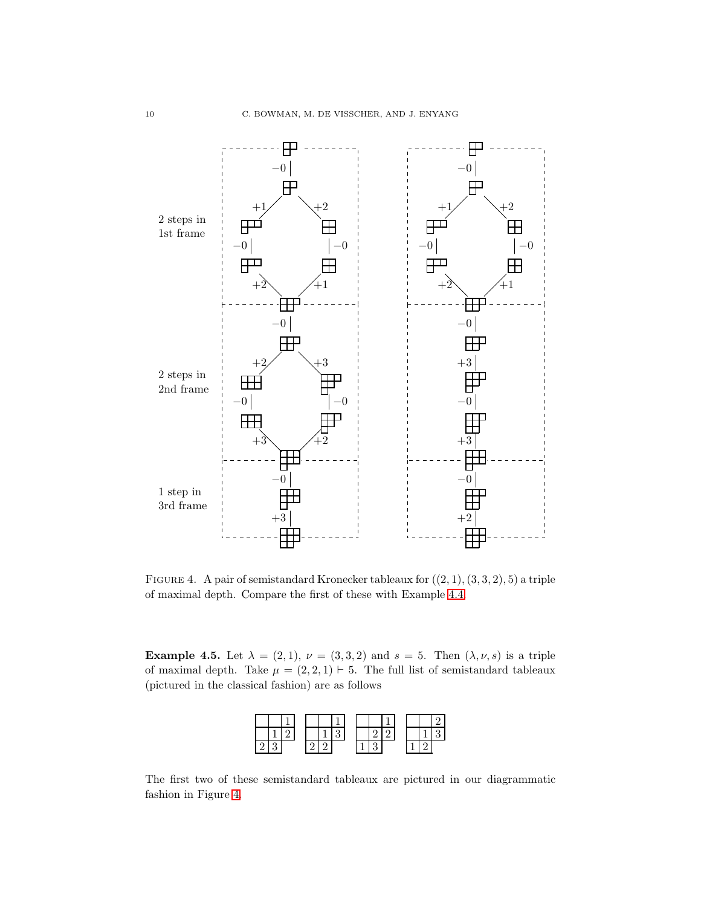<span id="page-9-0"></span>

FIGURE 4. A pair of semistandard Kronecker tableaux for  $((2, 1), (3, 3, 2), 5)$  a triple of maximal depth. Compare the first of these with Example [4.4.](#page-8-0)

**Example 4.5.** Let  $\lambda = (2, 1), \nu = (3, 3, 2)$  and  $s = 5$ . Then  $(\lambda, \nu, s)$  is a triple of maximal depth. Take  $\mu = (2, 2, 1) \vdash 5$ . The full list of semistandard tableaux (pictured in the classical fashion) are as follows



The first two of these semistandard tableaux are pictured in our diagrammatic fashion in Figure [4.](#page-9-0)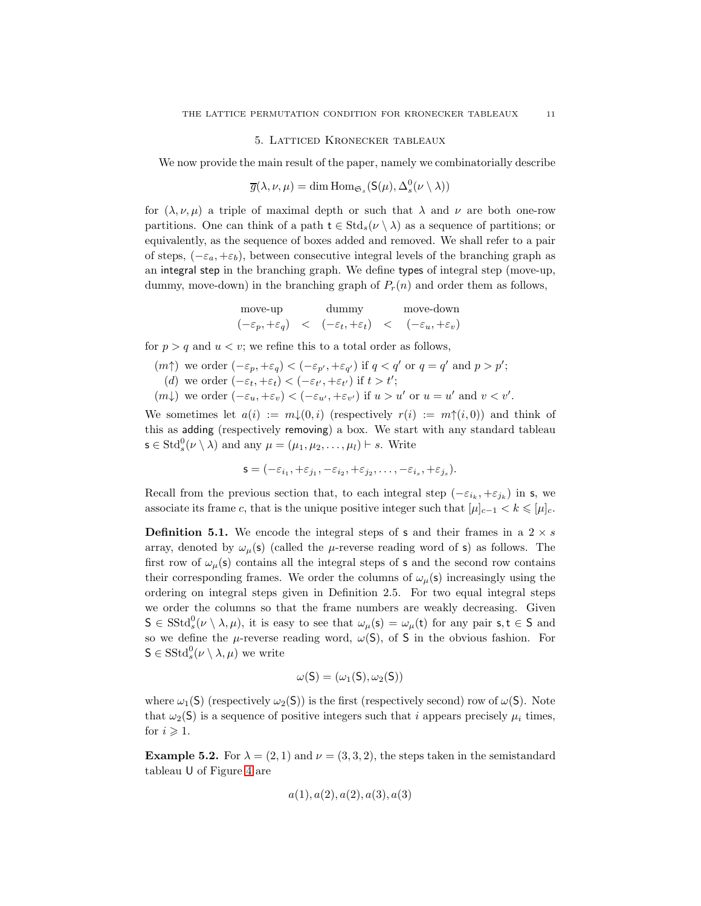# 5. Latticed Kronecker tableaux

<span id="page-10-0"></span>We now provide the main result of the paper, namely we combinatorially describe

$$
\overline{g}(\lambda, \nu, \mu) = \dim \operatorname{Hom}_{\mathfrak{S}_s}(\mathsf{S}(\mu), \Delta_s^0(\nu \setminus \lambda))
$$

for  $(\lambda, \nu, \mu)$  a triple of maximal depth or such that  $\lambda$  and  $\nu$  are both one-row partitions. One can think of a path  $t \in Std_s(\nu \setminus \lambda)$  as a sequence of partitions; or equivalently, as the sequence of boxes added and removed. We shall refer to a pair of steps,  $(-\varepsilon_a, +\varepsilon_b)$ , between consecutive integral levels of the branching graph as an integral step in the branching graph. We define types of integral step (move-up, dummy, move-down) in the branching graph of  $P_r(n)$  and order them as follows,

| move-up                            | dummy                                            | move-down |                                    |  |  |
|------------------------------------|--------------------------------------------------|-----------|------------------------------------|--|--|
| $(-\varepsilon_p, +\varepsilon_q)$ | $\langle -\varepsilon_t, +\varepsilon_t \rangle$ |           | $(-\varepsilon_u, +\varepsilon_v)$ |  |  |

for  $p > q$  and  $u < v$ ; we refine this to a total order as follows,

$$
(m\uparrow) \text{ we order } (-\varepsilon_p, +\varepsilon_q) < (-\varepsilon_{p'}, +\varepsilon_{q'}) \text{ if } q < q' \text{ or } q = q' \text{ and } p > p';
$$
  
\n(d) we order  $(-\varepsilon_t, +\varepsilon_t) < (-\varepsilon_{t'}, +\varepsilon_{t'})$  if  $t > t'$ ;  
\n $(m\downarrow)$  we order  $(-\varepsilon_u, +\varepsilon_v) < (-\varepsilon_{u'}, +\varepsilon_{v'})$  if  $u > u'$  or  $u = u'$  and  $v < v'$ .

We sometimes let  $a(i) := m\downarrow(0, i)$  (respectively  $r(i) := m\uparrow(i, 0)$ ) and think of this as adding (respectively removing) a box. We start with any standard tableau  $\mathsf{s} \in \operatorname{Std}^0_s(\nu \setminus \lambda)$  and any  $\mu = (\mu_1, \mu_2, \dots, \mu_l) \vdash s$ . Write

$$
\mathbf{s} = (-\varepsilon_{i_1}, +\varepsilon_{j_1}, -\varepsilon_{i_2}, +\varepsilon_{j_2}, \dots, -\varepsilon_{i_s}, +\varepsilon_{j_s}).
$$

Recall from the previous section that, to each integral step  $(-\varepsilon_{i_k}, +\varepsilon_{j_k})$  in s, we associate its frame c, that is the unique positive integer such that  $[\mu]_{c-1} < k \leqslant [\mu]_c$ .

**Definition 5.1.** We encode the integral steps of **s** and their frames in a  $2 \times s$ array, denoted by  $\omega_{\mu}(s)$  (called the  $\mu$ -reverse reading word of s) as follows. The first row of  $\omega_{\mu}(s)$  contains all the integral steps of s and the second row contains their corresponding frames. We order the columns of  $\omega_{\mu}(\mathsf{s})$  increasingly using the ordering on integral steps given in Definition 2.5. For two equal integral steps we order the columns so that the frame numbers are weakly decreasing. Given  $S \in \text{SStd}^0_s(\nu \setminus \lambda, \mu)$ , it is easy to see that  $\omega_\mu(s) = \omega_\mu(t)$  for any pair  $s, t \in S$  and so we define the  $\mu$ -reverse reading word,  $\omega(S)$ , of S in the obvious fashion. For  $\mathsf{S} \in \mathrm{SStd}^0_s(\nu \setminus \lambda, \mu)$  we write

$$
\omega(S)=(\omega_1(S),\omega_2(S))
$$

where  $\omega_1(S)$  (respectively  $\omega_2(S)$ ) is the first (respectively second) row of  $\omega(S)$ . Note that  $\omega_2(S)$  is a sequence of positive integers such that i appears precisely  $\mu_i$  times, for  $i \geqslant 1$ .

<span id="page-10-1"></span>**Example 5.2.** For  $\lambda = (2, 1)$  and  $\nu = (3, 3, 2)$ , the steps taken in the semistandard tableau U of Figure [4](#page-9-0) are

$$
a(1), a(2), a(2), a(3), a(3)
$$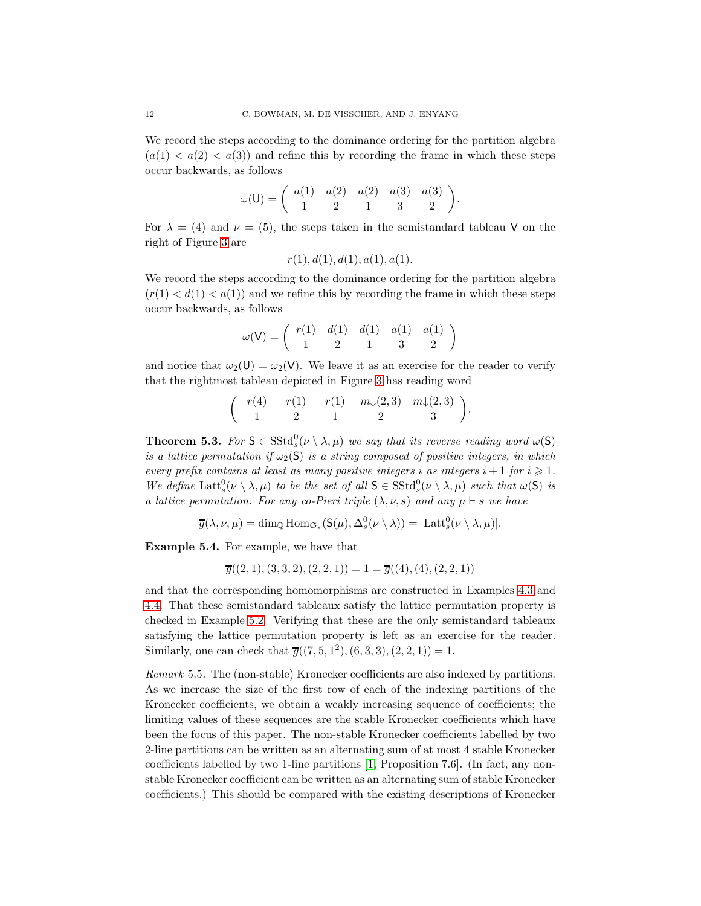We record the steps according to the dominance ordering for the partition algebra  $(a(1) < a(2) < a(3))$  and refine this by recording the frame in which these steps occur backwards, as follows

$$
\omega(\mathsf{U}) = \begin{pmatrix} a(1) & a(2) & a(2) & a(3) & a(3) \\ 1 & 2 & 1 & 3 & 2 \end{pmatrix}.
$$

For  $\lambda = (4)$  and  $\nu = (5)$ , the steps taken in the semistandard tableau V on the right of Figure [3](#page-7-0) are

$$
r(1), d(1), d(1), a(1), a(1).
$$

We record the steps according to the dominance ordering for the partition algebra  $(r(1) < d(1) < a(1))$  and we refine this by recording the frame in which these steps occur backwards, as follows

$$
\omega(\mathsf{V}) = \left( \begin{array}{ccc} r(1) & d(1) & d(1) & a(1) & a(1) \\ 1 & 2 & 1 & 3 & 2 \end{array} \right)
$$

and notice that  $\omega_2(\mathsf{U}) = \omega_2(\mathsf{V})$ . We leave it as an exercise for the reader to verify that the rightmost tableau depicted in Figure [3](#page-7-0) has reading word

$$
\left(\begin{array}{ccc} r(4) & r(1) & r(1) & m\downarrow (2,3) & m\downarrow (2,3) \\ 1 & 2 & 1 & 2 & 3 \end{array}\right).
$$

**Theorem 5.3.** For  $S \in \text{SStd}^0_s(\nu \setminus \lambda, \mu)$  we say that its reverse reading word  $\omega(S)$ is a lattice permutation if  $\omega_2(S)$  is a string composed of positive integers, in which every prefix contains at least as many positive integers i as integers  $i + 1$  for  $i \geq 1$ . We define  $\text{Latt}_s^0(\nu \setminus \lambda, \mu)$  to be the set of all  $S \in \text{SStd}_s^0(\nu \setminus \lambda, \mu)$  such that  $\omega(S)$  is a lattice permutation. For any co-Pieri triple  $(\lambda, \nu, s)$  and any  $\mu \vdash s$  we have

$$
\overline{g}(\lambda, \nu, \mu) = \dim_{\mathbb{Q}} \text{Hom}_{\mathfrak{S}_s}(\mathsf{S}(\mu), \Delta_s^0(\nu \setminus \lambda)) = |\text{Latt}_s^0(\nu \setminus \lambda, \mu)|.
$$

Example 5.4. For example, we have that

$$
\overline{g}((2,1),(3,3,2),(2,2,1)) = 1 = \overline{g}((4),(4),(2,2,1))
$$

and that the corresponding homomorphisms are constructed in Examples [4.3](#page-7-1) and [4.4.](#page-8-0) That these semistandard tableaux satisfy the lattice permutation property is checked in Example [5.2.](#page-10-1) Verifying that these are the only semistandard tableaux satisfying the lattice permutation property is left as an exercise for the reader. Similarly, one can check that  $\overline{g}((7,5,1^2),(6,3,3),(2,2,1))=1$ .

Remark 5.5. The (non-stable) Kronecker coefficients are also indexed by partitions. As we increase the size of the first row of each of the indexing partitions of the Kronecker coefficients, we obtain a weakly increasing sequence of coefficients; the limiting values of these sequences are the stable Kronecker coefficients which have been the focus of this paper. The non-stable Kronecker coefficients labelled by two 2-line partitions can be written as an alternating sum of at most 4 stable Kronecker coefficients labelled by two 1-line partitions [\[1,](#page-12-4) Proposition 7.6]. (In fact, any nonstable Kronecker coefficient can be written as an alternating sum of stable Kronecker coefficients.) This should be compared with the existing descriptions of Kronecker